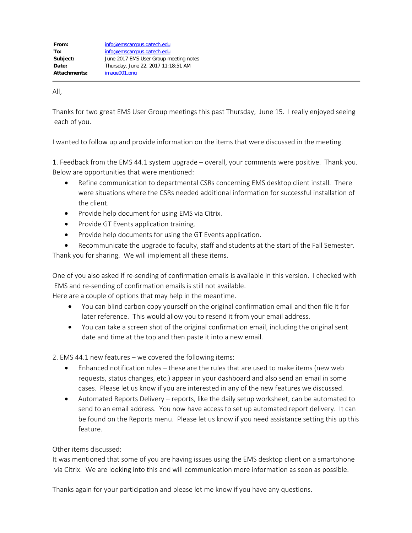All,

Thanks for two great EMS User Group meetings this past Thursday, June 15. I really enjoyed seeing each of you.

I wanted to follow up and provide information on the items that were discussed in the meeting.

1. Feedback from the EMS 44.1 system upgrade – overall, your comments were positive. Thank you. Below are opportunities that were mentioned:

- · Refine communication to departmental CSRs concerning EMS desktop client install. There were situations where the CSRs needed additional information for successful installation of the client.
- Provide help document for using EMS via Citrix.
- Provide GT Events application training.
- · Provide help documents for using the GT Events application.
- Recommunicate the upgrade to faculty, staff and students at the start of the Fall Semester.

Thank you for sharing. We will implement all these items.

One of you also asked if re-sending of confirmation emails is available in this version. I checked with EMS and re-sending of confirmation emails is still not available.

Here are a couple of options that may help in the meantime.

- · You can blind carbon copy yourself on the original confirmation email and then file it for later reference. This would allow you to resend it from your email address.
- · You can take a screen shot of the original confirmation email, including the original sent date and time at the top and then paste it into a new email.

2. EMS 44.1 new features – we covered the following items:

- · Enhanced notification rules these are the rules that are used to make items (new web requests, status changes, etc.) appear in your dashboard and also send an email in some cases. Please let us know if you are interested in any of the new features we discussed.
- · Automated Reports Delivery reports, like the daily setup worksheet, can be automated to send to an email address. You now have access to set up automated report delivery. It can be found on the Reports menu. Please let us know if you need assistance setting this up this feature.

Other items discussed:

It was mentioned that some of you are having issues using the EMS desktop client on a smartphone via Citrix. We are looking into this and will communication more information as soon as possible.

Thanks again for your participation and please let me know if you have any questions.